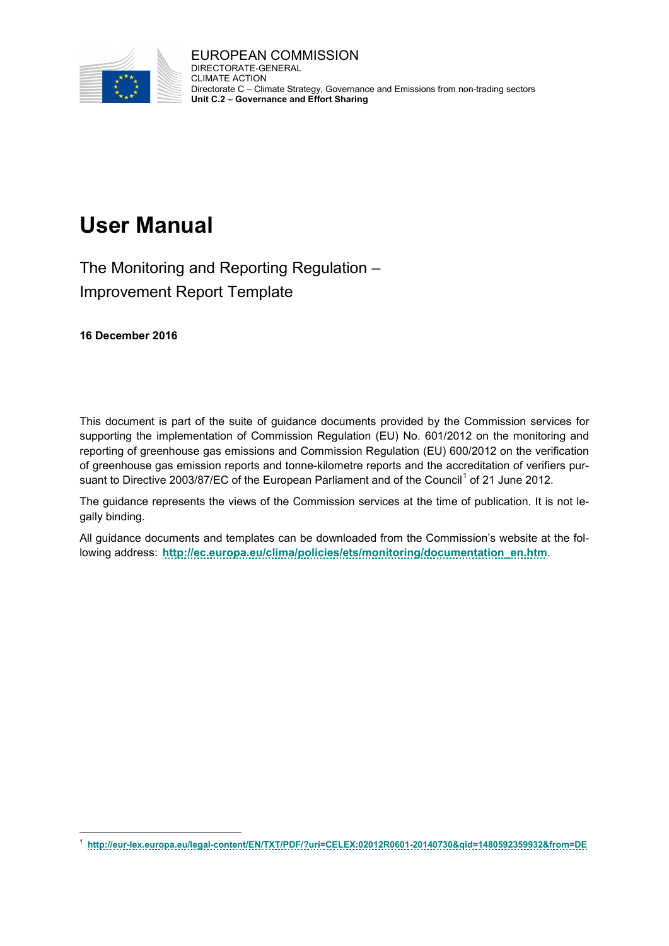

EUROPEAN COMMISSION DIRECTORATE-GENERAL CLIMATE ACTION Directorate C – Climate Strategy, Governance and Emissions from non-trading sectors **Unit C.2 – Governance and Effort Sharing**

# **User Manual**

The Monitoring and Reporting Regulation – Improvement Report Template

**16 December 2016**

This document is part of the suite of guidance documents provided by the Commission services for supporting the implementation of Commission Regulation (EU) No. 601/2012 on the monitoring and reporting of greenhouse gas emissions and Commission Regulation (EU) 600/2012 on the verification of greenhouse gas emission reports and tonne-kilometre reports and the accreditation of verifiers pur-suant to Directive 2003/87/EC of the European Parliament and of the Council<sup>[1](#page-0-0)</sup> of 21 June 2012.

The guidance represents the views of the Commission services at the time of publication. It is not legally binding.

All guidance documents and templates can be downloaded from the Commission's website at the following address: **[http://ec.europa.eu/clima/policies/ets/monitoring/documentation\\_en.htm](http://ec.europa.eu/clima/policies/ets/monitoring/documentation_en.htm)**.

<span id="page-0-0"></span> <sup>1</sup> **<http://eur-lex.europa.eu/legal-content/EN/TXT/PDF/?uri=CELEX:02012R0601-20140730&qid=1480592359932&from=DE>**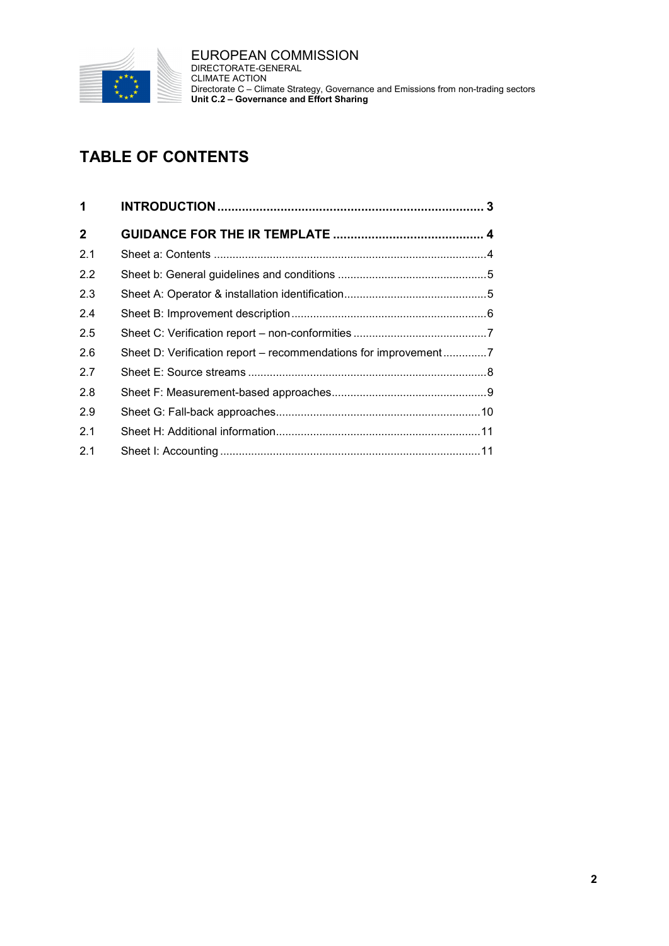

EUROPEAN COMMISSION DIRECTORATE-GENERAL CLIMATE ACTION Directorate C – Climate Strategy, Governance and Emissions from non-trading sectors **Unit C.2 – Governance and Effort Sharing**

## **TABLE OF CONTENTS**

| 1            |  |
|--------------|--|
| $\mathbf{2}$ |  |
| 2.1          |  |
| 2.2          |  |
| 2.3          |  |
| 24           |  |
| 2.5          |  |
| 2.6          |  |
| 2.7          |  |
| 2.8          |  |
| 2.9          |  |
| 2.1          |  |
| 2.1          |  |
|              |  |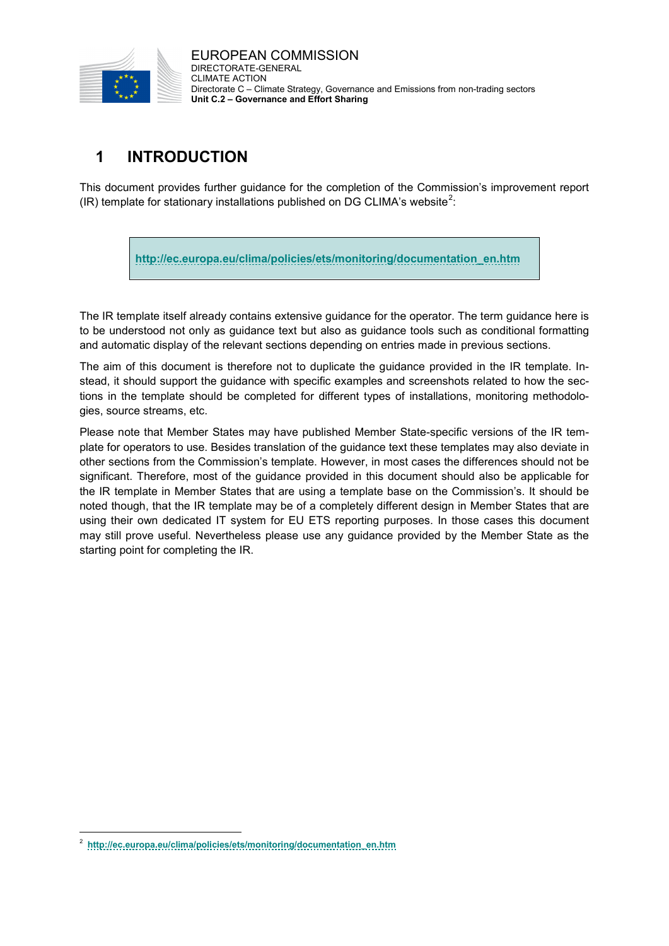

EUROPEAN COMMISSION DIRECTORATE-GENERAL CLIMATE ACTION Directorate C – Climate Strategy, Governance and Emissions from non-trading sectors **Unit C.2 – Governance and Effort Sharing**

## <span id="page-2-0"></span>**1 INTRODUCTION**

This document provides further guidance for the completion of the Commission's improvement report (IR) template for stationary installations published on DG CLIMA's website<sup>[2](#page-2-1)</sup>:

**[http://ec.europa.eu/clima/policies/ets/monitoring/documentation\\_en.htm](http://ec.europa.eu/clima/policies/ets/monitoring/documentation_en.htm)**

The IR template itself already contains extensive guidance for the operator. The term guidance here is to be understood not only as guidance text but also as guidance tools such as conditional formatting and automatic display of the relevant sections depending on entries made in previous sections.

The aim of this document is therefore not to duplicate the guidance provided in the IR template. Instead, it should support the guidance with specific examples and screenshots related to how the sections in the template should be completed for different types of installations, monitoring methodologies, source streams, etc.

Please note that Member States may have published Member State-specific versions of the IR template for operators to use. Besides translation of the guidance text these templates may also deviate in other sections from the Commission's template. However, in most cases the differences should not be significant. Therefore, most of the guidance provided in this document should also be applicable for the IR template in Member States that are using a template base on the Commission's. It should be noted though, that the IR template may be of a completely different design in Member States that are using their own dedicated IT system for EU ETS reporting purposes. In those cases this document may still prove useful. Nevertheless please use any guidance provided by the Member State as the starting point for completing the IR.

<span id="page-2-1"></span> <sup>2</sup> **[http://ec.europa.eu/clima/policies/ets/monitoring/documentation\\_en.htm](http://ec.europa.eu/clima/policies/ets/monitoring/documentation_en.htm)**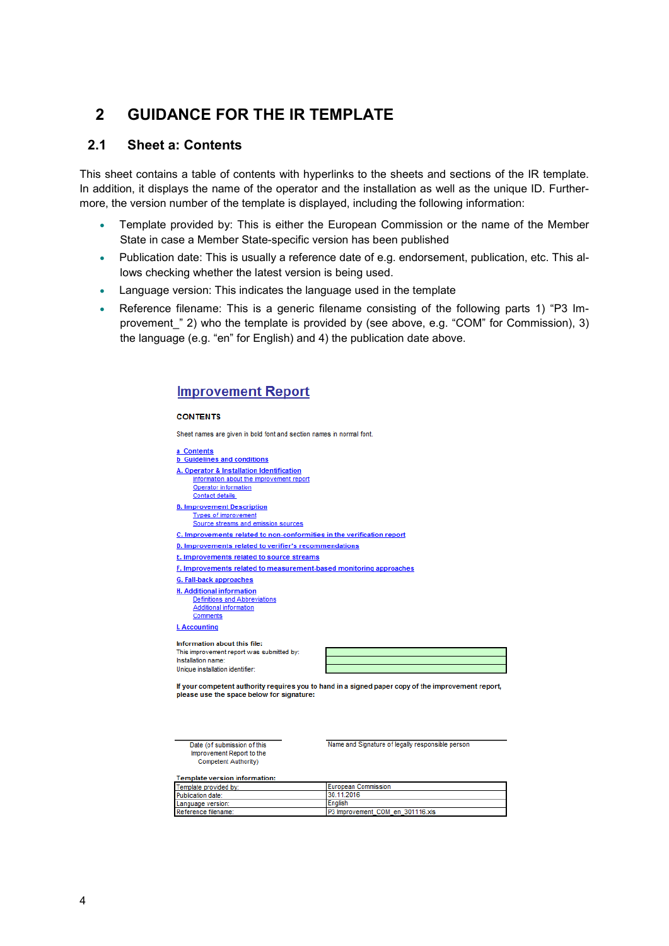### <span id="page-3-0"></span>**2 GUIDANCE FOR THE IR TEMPLATE**

#### <span id="page-3-1"></span>**2.1 Sheet a: Contents**

This sheet contains a table of contents with hyperlinks to the sheets and sections of the IR template. In addition, it displays the name of the operator and the installation as well as the unique ID. Furthermore, the version number of the template is displayed, including the following information:

- Template provided by: This is either the European Commission or the name of the Member State in case a Member State-specific version has been published
- Publication date: This is usually a reference date of e.g. endorsement, publication, etc. This allows checking whether the latest version is being used.
- Language version: This indicates the language used in the template
- Reference filename: This is a generic filename consisting of the following parts 1) "P3 Improvement " 2) who the template is provided by (see above, e.g. "COM" for Commission), 3) the language (e.g. "en" for English) and 4) the publication date above.

#### **Improvement Report**

#### **CONTENTS**

Sheet names are given in bold font and section names in normal font



Date (of submission of this Improvement Report to the

Name and Signature of legally responsible person

|  |  |  | Template version information: |
|--|--|--|-------------------------------|
|--|--|--|-------------------------------|

Competent Authority)

| Template provided by: | I European Commission            |
|-----------------------|----------------------------------|
| Publication date:     | 30.11.2016                       |
| Language version:     | English                          |
| Reference filename:   | P3 Improvement COM en 301116.xls |
|                       |                                  |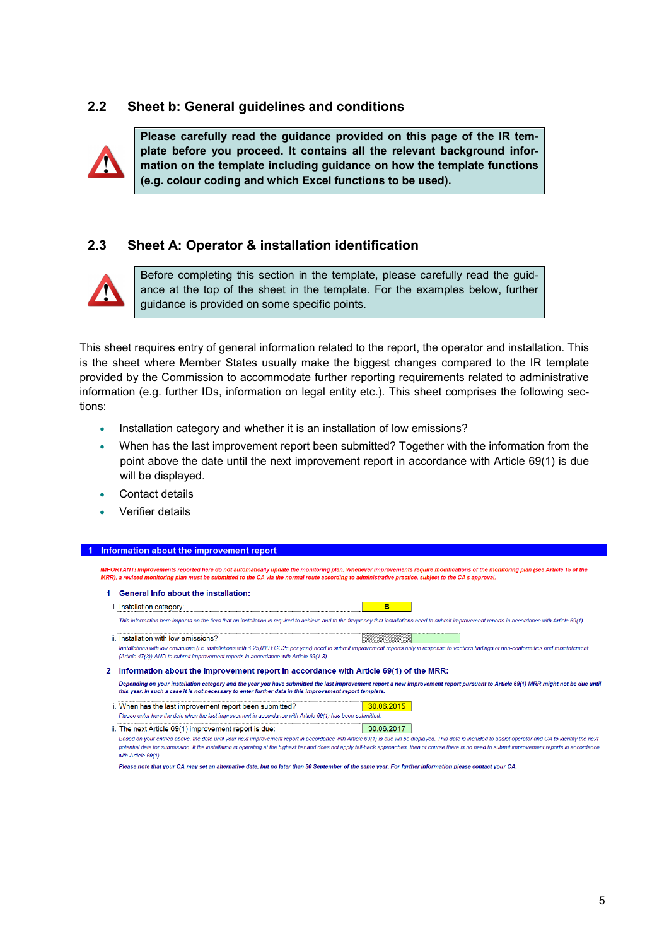#### <span id="page-4-0"></span>**2.2 Sheet b: General guidelines and conditions**



**Please carefully read the guidance provided on this page of the IR template before you proceed. It contains all the relevant background information on the template including guidance on how the template functions (e.g. colour coding and which Excel functions to be used).**

#### <span id="page-4-1"></span>**2.3 Sheet A: Operator & installation identification**



Before completing this section in the template, please carefully read the guidance at the top of the sheet in the template. For the examples below, further guidance is provided on some specific points.

This sheet requires entry of general information related to the report, the operator and installation. This is the sheet where Member States usually make the biggest changes compared to the IR template provided by the Commission to accommodate further reporting requirements related to administrative information (e.g. further IDs, information on legal entity etc.). This sheet comprises the following sections:

- Installation category and whether it is an installation of low emissions?
- When has the last improvement report been submitted? Together with the information from the point above the date until the next improvement report in accordance with Article 69(1) is due will be displayed.
- Contact details
- Verifier details

#### 1 Information about the improvement report

IMPORTANT! Improvements reported here do not automatically update the monitoring plan. Whenever improvements require modifications of the monitoring plan (see Article 15 of the MRR), a revised monitoring plan must be submitted to the CA via the normal route according to administrative practice, subject to the CA's approval

|   | <b>General Info about the installation:</b>                                                               |                                                                                                                                                                                                     |  |
|---|-----------------------------------------------------------------------------------------------------------|-----------------------------------------------------------------------------------------------------------------------------------------------------------------------------------------------------|--|
|   | Installation category:                                                                                    | в                                                                                                                                                                                                   |  |
|   |                                                                                                           | This information here impacts on the tiers that an installation is required to achieve and to the frequency that installations need to submit improvement reports in accordance with Article 69(1). |  |
|   | ii. Installation with low emissions?                                                                      |                                                                                                                                                                                                     |  |
|   |                                                                                                           | Installations with low emissions (i.e. installations with < 25,000 t CO2e per year) need to submit improvement reports only in response to verifiers findings of non-conformities and misstatement  |  |
|   | (Article 47(3)) AND to submit improvement reports in accordance with Article 69(1-3).                     |                                                                                                                                                                                                     |  |
| 2 | Information about the improvement report in accordance with Article 69(1) of the MRR:                     |                                                                                                                                                                                                     |  |
|   | this year. In such a case it is not necessary to enter further data in this improvement report template.  | Depending on your installation category and the year you have submitted the last improvement report a new improvement report pursuant to Article 69(1) MRR might not be due until                   |  |
|   | When has the last improvement report been submitted?                                                      | 30.06.2015                                                                                                                                                                                          |  |
|   | Please enter here the date when the last improvement in accordance with Article 69(1) has been submitted. |                                                                                                                                                                                                     |  |
|   | ii. The next Article 69(1) improvement report is due:                                                     | 30.06.2017                                                                                                                                                                                          |  |
|   |                                                                                                           |                                                                                                                                                                                                     |  |

Based on your entries above, the date until your next improvement report in accordance with Article 69(1) is due will be displayed. This date is included to assist operator and CA to identify the next potential date for submission. If the installation is operating at the highest tier and does not apply fall-back approaches, then of course there is no need to submit improvement reports in accordance with Article 69(1).

Please note that your CA may set an alternative date, but no later than 30 September of the same year. For further information please contact your CA.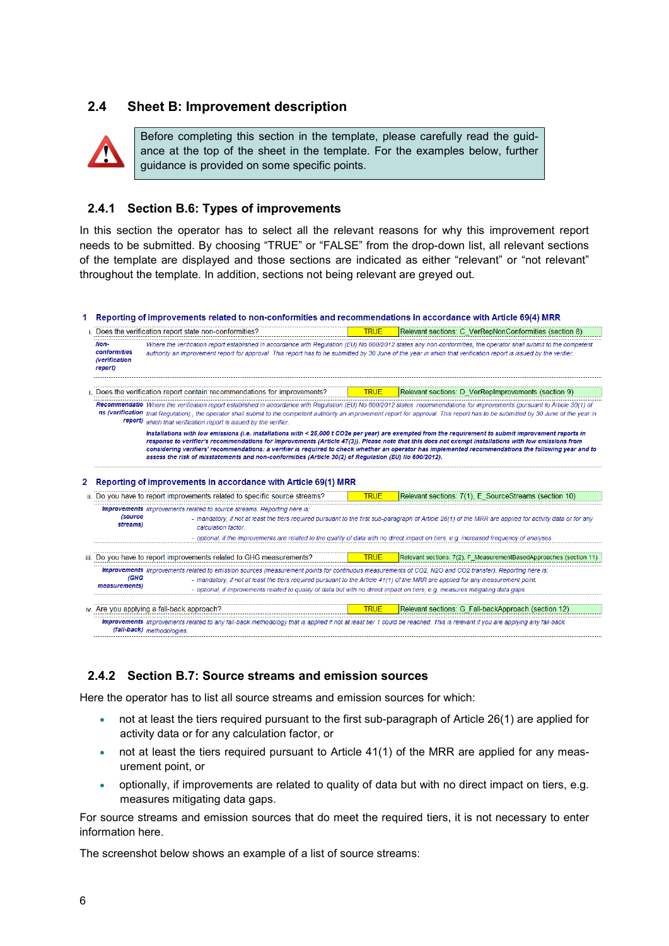#### <span id="page-5-0"></span>**2.4 Sheet B: Improvement description**



Before completing this section in the template, please carefully read the guidance at the top of the sheet in the template. For the examples below, further guidance is provided on some specific points.

#### <span id="page-5-1"></span>**2.4.1 Section B.6: Types of improvements**

In this section the operator has to select all the relevant reasons for why this improvement report needs to be submitted. By choosing "TRUE" or "FALSE" from the drop-down list, all relevant sections of the template are displayed and those sections are indicated as either "relevant" or "not relevant" throughout the template. In addition, sections not being relevant are greyed out.

1 Reporting of improvements related to non-conformities and recommendations in accordance with Article 69(4) MRR

|   |                                                         | Does the verification report state non-conformities?                                                                                                                                                                                                                                                                                                                                                                         | <b>TRUE</b> | Relevant sections: C VerRepNonConformities (section 8)                                                                                                                                |
|---|---------------------------------------------------------|------------------------------------------------------------------------------------------------------------------------------------------------------------------------------------------------------------------------------------------------------------------------------------------------------------------------------------------------------------------------------------------------------------------------------|-------------|---------------------------------------------------------------------------------------------------------------------------------------------------------------------------------------|
|   | Non-<br>conformities<br><i>(verification</i><br>report) | Where the verification report established in accordance with Regulation (EU) No 600/2012 states any non-conformities, the operator shall submit to the competent<br>authority an improvement report for approval. This report has to be submitted by 30 June of the year in which that verification report is issued by the verifier.                                                                                        |             |                                                                                                                                                                                       |
|   |                                                         | Does the verification report contain recommendations for improvements?                                                                                                                                                                                                                                                                                                                                                       | <b>TRUE</b> | Relevant sections: D VerRepImprovements (section 9)                                                                                                                                   |
|   |                                                         | Recommendatio Where the verification report established in accordance with Requlation (EU) No 600/2012 states recommendations for improvements (pursuant to Article 30(1) of<br>report) which that verification report is issued by the verifier.                                                                                                                                                                            |             | ns (verification that Regulation), the operator shall submit to the competent authority an improvement report for approval. This report has to be submitted by 30 June of the year in |
|   |                                                         | Installations with low emissions (i.e. installations with < 25,000 t CO2e per year) are exempted from the requirement to submit improvement reports in<br>response to verifier's recommendations for improvements (Article 47(3)). Please note that this does not exempt installations with low emissions from<br>assess the risk of misstatements and non-conformities (Article 30(2) of Regulation (EU) No 600/2012).      |             | considering verifiers' recommendations: a verifier is required to check whether an operator has implemented recommendations the following year and to                                 |
| 2 |                                                         | Reporting of improvements in accordance with Article 69(1) MRR<br>ii. Do you have to report improvements related to specific source streams?                                                                                                                                                                                                                                                                                 | <b>TRUE</b> | Relevant sections: 7(1), E SourceStreams (section 10)                                                                                                                                 |
|   |                                                         |                                                                                                                                                                                                                                                                                                                                                                                                                              |             |                                                                                                                                                                                       |
|   | <i>(source</i><br>streams)                              | <b>Improvements</b> Improvements related to source streams. Reporting here is:<br>calculation factor.                                                                                                                                                                                                                                                                                                                        |             | - mandatory, if not at least the tiers required pursuant to the first sub-paragraph of Article 26(1) of the MRR are applied for activity data or for any                              |
|   |                                                         |                                                                                                                                                                                                                                                                                                                                                                                                                              |             | - optional, if the improvements are related to the quality of data with no direct impact on tiers, e.g. increased frequency of analyses.                                              |
|   |                                                         | iii. Do you have to report improvements related to GHG measurements?                                                                                                                                                                                                                                                                                                                                                         | <b>TRUE</b> | Relevant sections: 7(2), F MeasurementBasedApproaches (section 11)                                                                                                                    |
|   | (GHG<br>measurements)                                   | Improvements Improvements related to emission sources (measurement points for continuous measurements of CO2, N2O and CO2 transfer). Reporting here is:<br>- mandatory, if not at least the tiers required pursuant to the Article 41(1) of the MRR are applied for any measurement point.<br>- optional, if improvements related to quality of data but with no direct impact on tiers, e.g. measures mitigating data gaps. |             |                                                                                                                                                                                       |
|   |                                                         | iv. Are you applying a fall-back approach?                                                                                                                                                                                                                                                                                                                                                                                   | <b>TRUE</b> | Relevant sections: G Fall-backApproach (section 12)                                                                                                                                   |
|   |                                                         | Improvements Improvements related to any fall-back methodology that is applied if not at least tier 1 could be reached. This is relevant if you are applying any fall-back<br>(fall-back) methodologies.                                                                                                                                                                                                                     |             |                                                                                                                                                                                       |

#### **2.4.2 Section B.7: Source streams and emission sources**

Here the operator has to list all source streams and emission sources for which:

- not at least the tiers required pursuant to the first sub-paragraph of Article 26(1) are applied for activity data or for any calculation factor, or
- not at least the tiers required pursuant to Article 41(1) of the MRR are applied for any measurement point, or
- optionally, if improvements are related to quality of data but with no direct impact on tiers, e.g. measures mitigating data gaps.

For source streams and emission sources that do meet the required tiers, it is not necessary to enter information here.

The screenshot below shows an example of a list of source streams: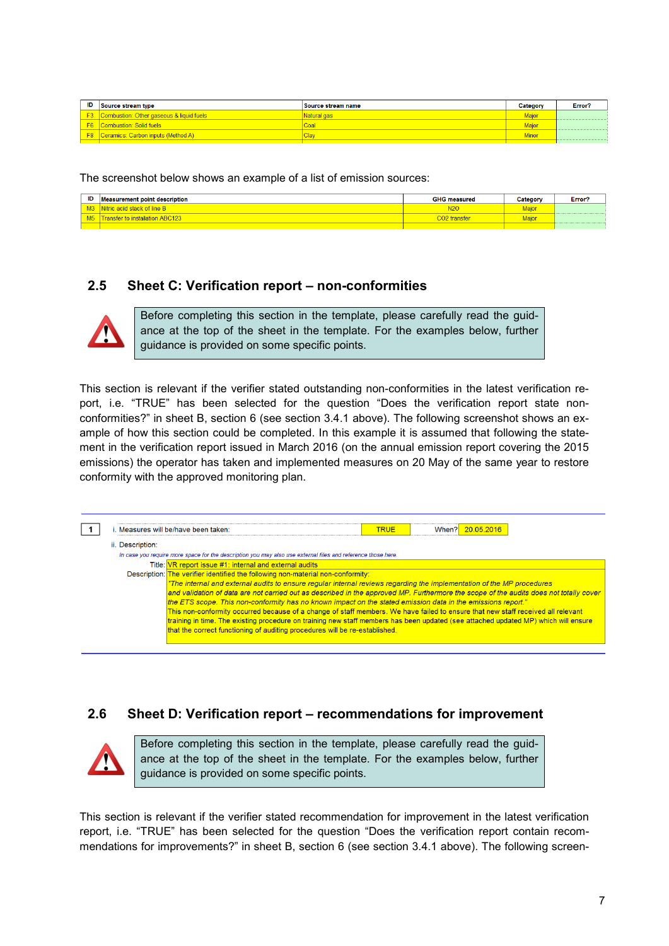| ID | Source stream type                           | Source stream name | Category | Error? |
|----|----------------------------------------------|--------------------|----------|--------|
|    | F3 Combustion: Other gaseous & liquid fuels  |                    | Maior    |        |
|    | <b>F6</b> Combustion: Solid fuels            | Coa                | Maic     |        |
|    | <b>F8</b> Ceramics: Carbon inputs (Method A) | ∪la                | Minor    |        |
|    |                                              |                    |          |        |

The screenshot below shows an example of a list of emission sources:

| ID | <b>Measurement point description</b> | <b>GHG measured</b> | Category           | Error |
|----|--------------------------------------|---------------------|--------------------|-------|
|    | Nitric acid stack of line P          | $\sqrt{20}$         | 1aic               |       |
|    | $\cdot$ to installation ABC          |                     | <i><b>Aaid</b></i> |       |
|    |                                      |                     |                    |       |

#### <span id="page-6-0"></span>**2.5 Sheet C: Verification report – non-conformities**



Before completing this section in the template, please carefully read the guidance at the top of the sheet in the template. For the examples below, further guidance is provided on some specific points.

This section is relevant if the verifier stated outstanding non-conformities in the latest verification report, i.e. "TRUE" has been selected for the question "Does the verification report state nonconformities?" in sheet B, section 6 (see section [3.4.1](#page-5-1) above). The following screenshot shows an example of how this section could be completed. In this example it is assumed that following the statement in the verification report issued in March 2016 (on the annual emission report covering the 2015 emissions) the operator has taken and implemented measures on 20 May of the same year to restore conformity with the approved monitoring plan.

```
\boxed{1}When? 20.05.2016
i. Measures will be/have been taken:
                                                                                     TRUE
ii Description:
  In case you require
                     ore space for the description you may also use external files and re
            Title: VR report issue #1; internal and external audits
     Description:
                  The verifier identified the following non-material non-conformity
                   "The internal and external audits to ensure regular internal reviews regarding the implementation of the MP procedures
                   and validation of data are not carried out as described in the approved MP. Furthermore the scope of the audits does not totally cover
                  the ETS scope. This non-conformity has no known impact on the stated emission data in the emissions report.
                  This non-conformity occurred because of a change of staff members. We have failed to ensure that new staff received all relevant
                  training in time. The existing procedure on training new staff members has been updated (see attached updated MP) which will ensure
                  that the correct functioning of auditing procedures will be re-established.
```
#### <span id="page-6-1"></span>**2.6 Sheet D: Verification report – recommendations for improvement**



Before completing this section in the template, please carefully read the guidance at the top of the sheet in the template. For the examples below, further guidance is provided on some specific points.

This section is relevant if the verifier stated recommendation for improvement in the latest verification report, i.e. "TRUE" has been selected for the question "Does the verification report contain recommendations for improvements?" in sheet B, section 6 (see section [3.4.1](#page-5-1) above). The following screen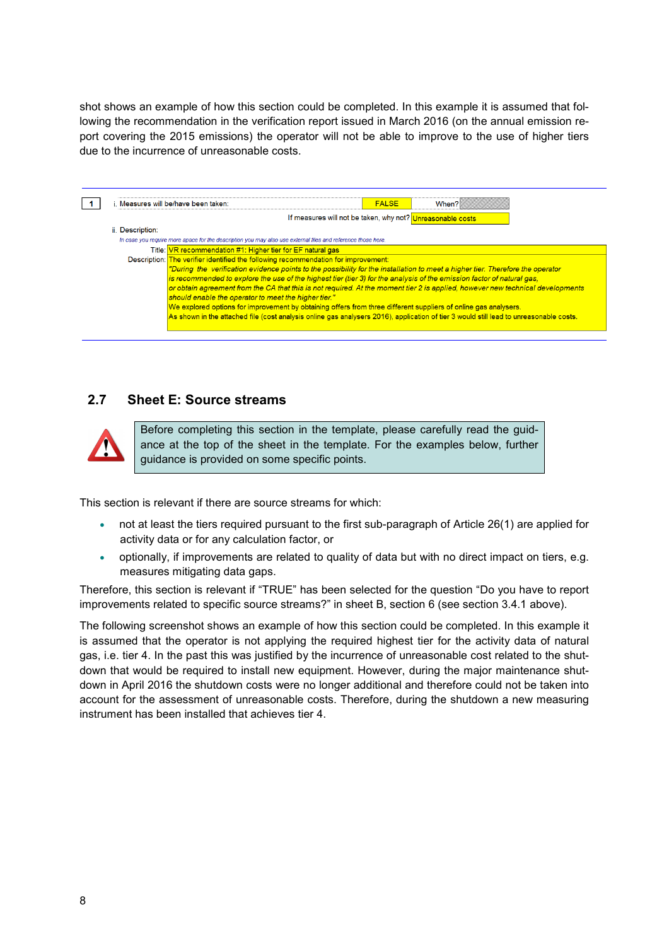shot shows an example of how this section could be completed. In this example it is assumed that following the recommendation in the verification report issued in March 2016 (on the annual emission report covering the 2015 emissions) the operator will not be able to improve to the use of higher tiers due to the incurrence of unreasonable costs.

|                  | i. Measures will be/have been taken:                                                                                                                                                                                                                                                                                                                                                                                                                                                                                                                                                                                                                                                                            | <b>FALSE</b>                                               | When? |
|------------------|-----------------------------------------------------------------------------------------------------------------------------------------------------------------------------------------------------------------------------------------------------------------------------------------------------------------------------------------------------------------------------------------------------------------------------------------------------------------------------------------------------------------------------------------------------------------------------------------------------------------------------------------------------------------------------------------------------------------|------------------------------------------------------------|-------|
|                  |                                                                                                                                                                                                                                                                                                                                                                                                                                                                                                                                                                                                                                                                                                                 | If measures will not be taken, why not? Unreasonable costs |       |
| ii. Description: |                                                                                                                                                                                                                                                                                                                                                                                                                                                                                                                                                                                                                                                                                                                 |                                                            |       |
|                  | In case you require more space for the description you may also use external files and reference those here.                                                                                                                                                                                                                                                                                                                                                                                                                                                                                                                                                                                                    |                                                            |       |
|                  | Title: VR recommendation #1: Higher tier for EF natural gas                                                                                                                                                                                                                                                                                                                                                                                                                                                                                                                                                                                                                                                     |                                                            |       |
|                  | Description: The verifier identified the following recommendation for improvement:                                                                                                                                                                                                                                                                                                                                                                                                                                                                                                                                                                                                                              |                                                            |       |
|                  | "During the verification evidence points to the possibility for the installation to meet a higher tier. Therefore the operator<br>is recommended to explore the use of the highest tier (tier 3) for the analysis of the emission factor of natural gas,<br>or obtain agreement from the CA that this is not required. At the moment tier 2 is applied, however new technical developments<br>should enable the operator to meet the higher tier."<br>We explored options for improvement by obtaining offers from three different suppliers of online gas analysers.<br>As shown in the attached file (cost analysis online gas analysers 2016), application of tier 3 would still lead to unreasonable costs. |                                                            |       |

### <span id="page-7-0"></span>**2.7 Sheet E: Source streams**



Before completing this section in the template, please carefully read the guidance at the top of the sheet in the template. For the examples below, further guidance is provided on some specific points.

This section is relevant if there are source streams for which:

- not at least the tiers required pursuant to the first sub-paragraph of Article 26(1) are applied for activity data or for any calculation factor, or
- optionally, if improvements are related to quality of data but with no direct impact on tiers, e.g. measures mitigating data gaps.

Therefore, this section is relevant if "TRUE" has been selected for the question "Do you have to report improvements related to specific source streams?" in sheet B, section 6 (see section [3.4.1](#page-5-1) above).

The following screenshot shows an example of how this section could be completed. In this example it is assumed that the operator is not applying the required highest tier for the activity data of natural gas, i.e. tier 4. In the past this was justified by the incurrence of unreasonable cost related to the shutdown that would be required to install new equipment. However, during the major maintenance shutdown in April 2016 the shutdown costs were no longer additional and therefore could not be taken into account for the assessment of unreasonable costs. Therefore, during the shutdown a new measuring instrument has been installed that achieves tier 4.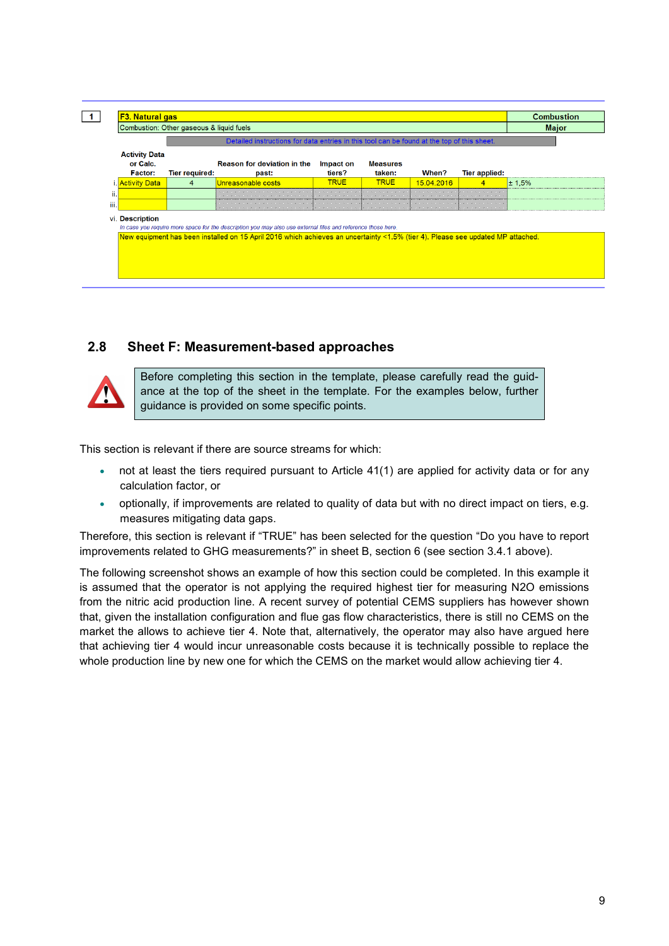|                                                    | Combustion: Other gaseous & liquid fuels<br><b>Major</b><br>Detailed instructions for data entries in this tool can be found at the top of this sheet. |                                                                                                                                                                                                                                                 |                     |                           |            |                      |        |
|----------------------------------------------------|--------------------------------------------------------------------------------------------------------------------------------------------------------|-------------------------------------------------------------------------------------------------------------------------------------------------------------------------------------------------------------------------------------------------|---------------------|---------------------------|------------|----------------------|--------|
| <b>Activity Data</b><br>or Calc.<br><b>Factor:</b> | <b>Tier required:</b>                                                                                                                                  | <b>Reason for deviation in the</b><br>past:                                                                                                                                                                                                     | Impact on<br>tiers? | <b>Measures</b><br>taken: | When?      | <b>Tier applied:</b> |        |
| i. <mark>Activity Datal</mark>                     | 4                                                                                                                                                      | Unreasonable costs                                                                                                                                                                                                                              | <b>TRUE</b>         | <b>TRUE</b>               | 15.04.2016 | 4                    | ± 1.5% |
| ii.                                                |                                                                                                                                                        |                                                                                                                                                                                                                                                 |                     |                           |            |                      |        |
| iii.                                               |                                                                                                                                                        |                                                                                                                                                                                                                                                 |                     |                           |            |                      |        |
| vi. Description                                    |                                                                                                                                                        | In case you require more space for the description you may also use external files and reference those here.<br>New equipment has been installed on 15 April 2016 which achieves an uncertainty <1.5% (tier 4). Please see updated MP attached. |                     |                           |            |                      |        |

#### <span id="page-8-0"></span>**2.8 Sheet F: Measurement-based approaches**



Before completing this section in the template, please carefully read the guidance at the top of the sheet in the template. For the examples below, further guidance is provided on some specific points.

This section is relevant if there are source streams for which:

- not at least the tiers required pursuant to Article 41(1) are applied for activity data or for any calculation factor, or
- optionally, if improvements are related to quality of data but with no direct impact on tiers, e.g. measures mitigating data gaps.

Therefore, this section is relevant if "TRUE" has been selected for the question "Do you have to report improvements related to GHG measurements?" in sheet B, section 6 (see section [3.4.1](#page-5-1) above).

The following screenshot shows an example of how this section could be completed. In this example it is assumed that the operator is not applying the required highest tier for measuring N2O emissions from the nitric acid production line. A recent survey of potential CEMS suppliers has however shown that, given the installation configuration and flue gas flow characteristics, there is still no CEMS on the market the allows to achieve tier 4. Note that, alternatively, the operator may also have argued here that achieving tier 4 would incur unreasonable costs because it is technically possible to replace the whole production line by new one for which the CEMS on the market would allow achieving tier 4.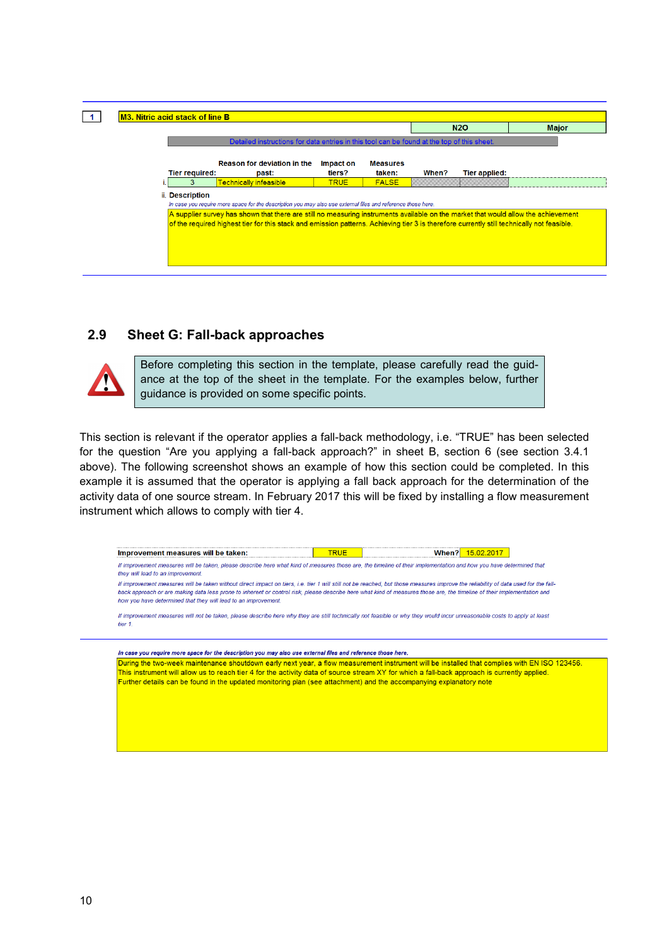

#### <span id="page-9-0"></span>**2.9 Sheet G: Fall-back approaches**



Before completing this section in the template, please carefully read the guidance at the top of the sheet in the template. For the examples below, further guidance is provided on some specific points.

This section is relevant if the operator applies a fall-back methodology, i.e. "TRUE" has been selected for the question "Are you applying a fall-back approach?" in sheet B, section 6 (see section [3.4.1](#page-5-1) above). The following screenshot shows an example of how this section could be completed. In this example it is assumed that the operator is applying a fall back approach for the determination of the activity data of one source stream. In February 2017 this will be fixed by installing a flow measurement instrument which allows to comply with tier 4.

<span id="page-9-1"></span>Improvement measures will be taken: TRUF When? 15.02.2017 If improvement measures will be taken, please describe here what kind of measures those are, the timeline of their implementation and how you have determined that they will lead to an improvement. If improvement measures will be taken without direct impact on tiers, i.e. tier 1 will still not be reached, but those measures improve the reliability of data used for the fallback approach or are making data less prone to inherent or control risk, please describe here what kind of measures those are, the timeline of their implementation and how you have determined that they will lead to an improvement. If improvement measures will not be taken, please describe here why they are still technically not feasible or why they would incur unreasonable costs to apply at least tier 1 In case you require more space for the description you may also use external files and reference those here. During the two-week maintenance shoutdown early next year, a flow measurement instrument will be installed that complies with EN ISO 123456. This instrument will allow us to reach tier 4 for the activity data of source stream XY for which a fall-back approach is currently applied. Further details can be found in the updated monitoring plan (see attachment) and the accompanying explanatory note